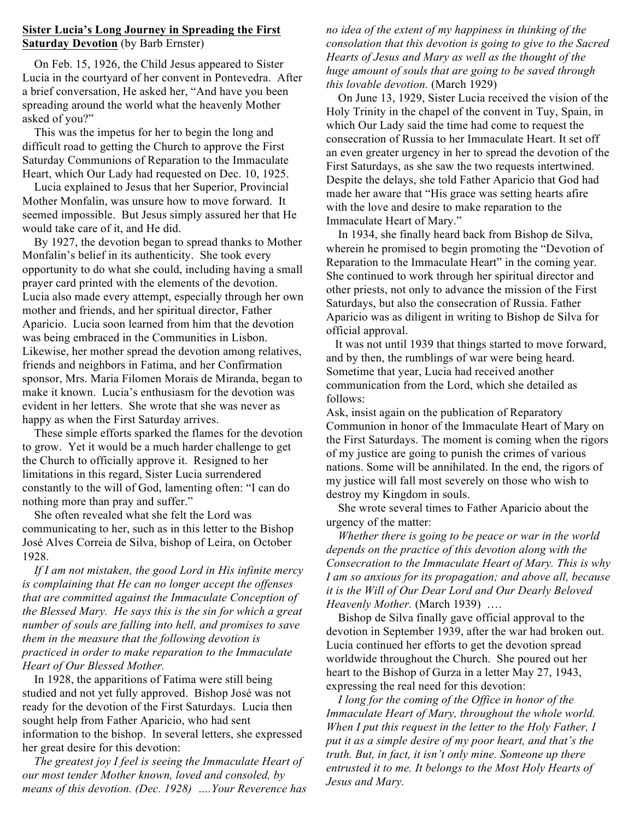#### **Sister Lucia's Long Journey in Spreading the First Saturday Devotion** (by Barb Ernster)

 On Feb. 15, 1926, the Child Jesus appeared to Sister Lucia in the courtyard of her convent in Pontevedra. After a brief conversation, He asked her, "And have you been spreading around the world what the heavenly Mother asked of you?"

 This was the impetus for her to begin the long and difficult road to getting the Church to approve the First Saturday Communions of Reparation to the Immaculate Heart, which Our Lady had requested on Dec. 10, 1925.

 Lucia explained to Jesus that her Superior, Provincial Mother Monfalin, was unsure how to move forward. It seemed impossible. But Jesus simply assured her that He would take care of it, and He did.

 By 1927, the devotion began to spread thanks to Mother Monfalin's belief in its authenticity. She took every opportunity to do what she could, including having a small prayer card printed with the elements of the devotion. Lucia also made every attempt, especially through her own mother and friends, and her spiritual director, Father Aparicio. Lucia soon learned from him that the devotion was being embraced in the Communities in Lisbon. Likewise, her mother spread the devotion among relatives, friends and neighbors in Fatima, and her Confirmation sponsor, Mrs. Maria Filomen Morais de Miranda, began to make it known. Lucia's enthusiasm for the devotion was evident in her letters. She wrote that she was never as happy as when the First Saturday arrives.

 These simple efforts sparked the flames for the devotion to grow. Yet it would be a much harder challenge to get the Church to officially approve it. Resigned to her limitations in this regard, Sister Lucia surrendered constantly to the will of God, lamenting often: "I can do nothing more than pray and suffer."

 She often revealed what she felt the Lord was communicating to her, such as in this letter to the Bishop José Alves Correia de Silva, bishop of Leira, on October 1928.

 *If I am not mistaken, the good Lord in His infinite mercy is complaining that He can no longer accept the offenses that are committed against the Immaculate Conception of the Blessed Mary. He says this is the sin for which a great number of souls are falling into hell, and promises to save them in the measure that the following devotion is practiced in order to make reparation to the Immaculate Heart of Our Blessed Mother.*

 In 1928, the apparitions of Fatima were still being studied and not yet fully approved. Bishop José was not ready for the devotion of the First Saturdays. Lucia then sought help from Father Aparicio, who had sent information to the bishop. In several letters, she expressed her great desire for this devotion:

 *The greatest joy I feel is seeing the Immaculate Heart of our most tender Mother known, loved and consoled, by means of this devotion. (Dec. 1928) ….Your Reverence has* *no idea of the extent of my happiness in thinking of the consolation that this devotion is going to give to the Sacred Hearts of Jesus and Mary as well as the thought of the huge amount of souls that are going to be saved through this lovable devotion.* (March 1929)

 On June 13, 1929, Sister Lucia received the vision of the Holy Trinity in the chapel of the convent in Tuy, Spain, in which Our Lady said the time had come to request the consecration of Russia to her Immaculate Heart. It set off an even greater urgency in her to spread the devotion of the First Saturdays, as she saw the two requests intertwined. Despite the delays, she told Father Aparicio that God had made her aware that "His grace was setting hearts afire with the love and desire to make reparation to the Immaculate Heart of Mary."

 In 1934, she finally heard back from Bishop de Silva, wherein he promised to begin promoting the "Devotion of Reparation to the Immaculate Heart" in the coming year. She continued to work through her spiritual director and other priests, not only to advance the mission of the First Saturdays, but also the consecration of Russia. Father Aparicio was as diligent in writing to Bishop de Silva for official approval.

 It was not until 1939 that things started to move forward, and by then, the rumblings of war were being heard. Sometime that year, Lucia had received another communication from the Lord, which she detailed as follows:

Ask, insist again on the publication of Reparatory Communion in honor of the Immaculate Heart of Mary on the First Saturdays. The moment is coming when the rigors of my justice are going to punish the crimes of various nations. Some will be annihilated. In the end, the rigors of my justice will fall most severely on those who wish to destroy my Kingdom in souls.

 She wrote several times to Father Aparicio about the urgency of the matter:

 *Whether there is going to be peace or war in the world depends on the practice of this devotion along with the Consecration to the Immaculate Heart of Mary. This is why I am so anxious for its propagation; and above all, because it is the Will of Our Dear Lord and Our Dearly Beloved Heavenly Mother.* (March 1939) ….

 Bishop de Silva finally gave official approval to the devotion in September 1939, after the war had broken out. Lucia continued her efforts to get the devotion spread worldwide throughout the Church. She poured out her heart to the Bishop of Gurza in a letter May 27, 1943, expressing the real need for this devotion:

 *I long for the coming of the Office in honor of the Immaculate Heart of Mary, throughout the whole world. When I put this request in the letter to the Holy Father, I put it as a simple desire of my poor heart, and that's the truth. But, in fact, it isn't only mine. Someone up there entrusted it to me. It belongs to the Most Holy Hearts of Jesus and Mary.*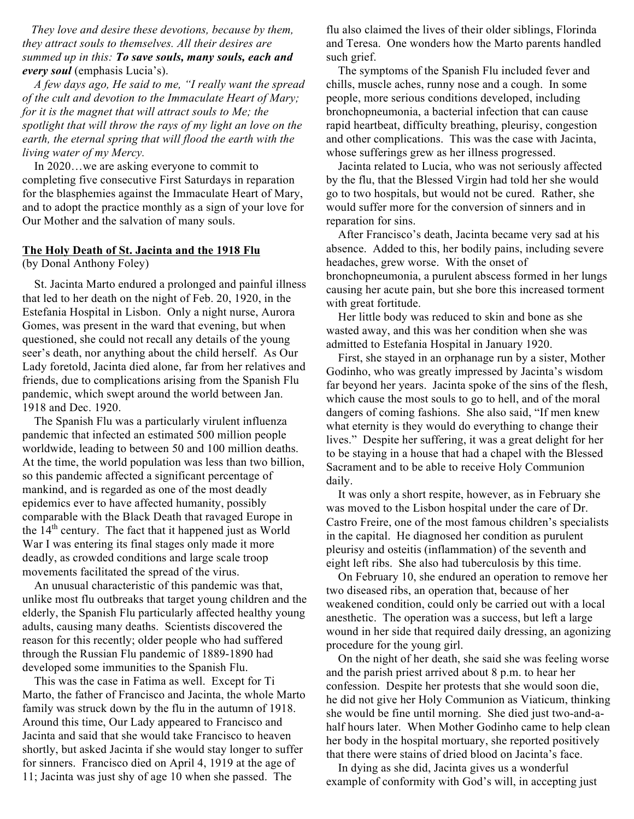*They love and desire these devotions, because by them, they attract souls to themselves. All their desires are summed up in this: To save souls, many souls, each and every soul* (emphasis Lucia's).

 *A few days ago, He said to me, "I really want the spread of the cult and devotion to the Immaculate Heart of Mary; for it is the magnet that will attract souls to Me; the spotlight that will throw the rays of my light an love on the earth, the eternal spring that will flood the earth with the living water of my Mercy.*

 In 2020…we are asking everyone to commit to completing five consecutive First Saturdays in reparation for the blasphemies against the Immaculate Heart of Mary, and to adopt the practice monthly as a sign of your love for Our Mother and the salvation of many souls.

#### **The Holy Death of St. Jacinta and the 1918 Flu**

(by Donal Anthony Foley)

 St. Jacinta Marto endured a prolonged and painful illness that led to her death on the night of Feb. 20, 1920, in the Estefania Hospital in Lisbon. Only a night nurse, Aurora Gomes, was present in the ward that evening, but when questioned, she could not recall any details of the young seer's death, nor anything about the child herself. As Our Lady foretold, Jacinta died alone, far from her relatives and friends, due to complications arising from the Spanish Flu pandemic, which swept around the world between Jan. 1918 and Dec. 1920.

 The Spanish Flu was a particularly virulent influenza pandemic that infected an estimated 500 million people worldwide, leading to between 50 and 100 million deaths. At the time, the world population was less than two billion, so this pandemic affected a significant percentage of mankind, and is regarded as one of the most deadly epidemics ever to have affected humanity, possibly comparable with the Black Death that ravaged Europe in the  $14<sup>th</sup>$  century. The fact that it happened just as World War I was entering its final stages only made it more deadly, as crowded conditions and large scale troop movements facilitated the spread of the virus.

 An unusual characteristic of this pandemic was that, unlike most flu outbreaks that target young children and the elderly, the Spanish Flu particularly affected healthy young adults, causing many deaths. Scientists discovered the reason for this recently; older people who had suffered through the Russian Flu pandemic of 1889-1890 had developed some immunities to the Spanish Flu.

 This was the case in Fatima as well. Except for Ti Marto, the father of Francisco and Jacinta, the whole Marto family was struck down by the flu in the autumn of 1918. Around this time, Our Lady appeared to Francisco and Jacinta and said that she would take Francisco to heaven shortly, but asked Jacinta if she would stay longer to suffer for sinners. Francisco died on April 4, 1919 at the age of 11; Jacinta was just shy of age 10 when she passed. The

flu also claimed the lives of their older siblings, Florinda and Teresa. One wonders how the Marto parents handled such grief.

 The symptoms of the Spanish Flu included fever and chills, muscle aches, runny nose and a cough. In some people, more serious conditions developed, including bronchopneumonia, a bacterial infection that can cause rapid heartbeat, difficulty breathing, pleurisy, congestion and other complications. This was the case with Jacinta, whose sufferings grew as her illness progressed.

 Jacinta related to Lucia, who was not seriously affected by the flu, that the Blessed Virgin had told her she would go to two hospitals, but would not be cured. Rather, she would suffer more for the conversion of sinners and in reparation for sins.

 After Francisco's death, Jacinta became very sad at his absence. Added to this, her bodily pains, including severe headaches, grew worse. With the onset of bronchopneumonia, a purulent abscess formed in her lungs causing her acute pain, but she bore this increased torment with great fortitude.

 Her little body was reduced to skin and bone as she wasted away, and this was her condition when she was admitted to Estefania Hospital in January 1920.

 First, she stayed in an orphanage run by a sister, Mother Godinho, who was greatly impressed by Jacinta's wisdom far beyond her years. Jacinta spoke of the sins of the flesh, which cause the most souls to go to hell, and of the moral dangers of coming fashions. She also said, "If men knew what eternity is they would do everything to change their lives." Despite her suffering, it was a great delight for her to be staying in a house that had a chapel with the Blessed Sacrament and to be able to receive Holy Communion daily.

 It was only a short respite, however, as in February she was moved to the Lisbon hospital under the care of Dr. Castro Freire, one of the most famous children's specialists in the capital. He diagnosed her condition as purulent pleurisy and osteitis (inflammation) of the seventh and eight left ribs. She also had tuberculosis by this time.

 On February 10, she endured an operation to remove her two diseased ribs, an operation that, because of her weakened condition, could only be carried out with a local anesthetic. The operation was a success, but left a large wound in her side that required daily dressing, an agonizing procedure for the young girl.

 On the night of her death, she said she was feeling worse and the parish priest arrived about 8 p.m. to hear her confession. Despite her protests that she would soon die, he did not give her Holy Communion as Viaticum, thinking she would be fine until morning. She died just two-and-ahalf hours later. When Mother Godinho came to help clean her body in the hospital mortuary, she reported positively that there were stains of dried blood on Jacinta's face.

 In dying as she did, Jacinta gives us a wonderful example of conformity with God's will, in accepting just